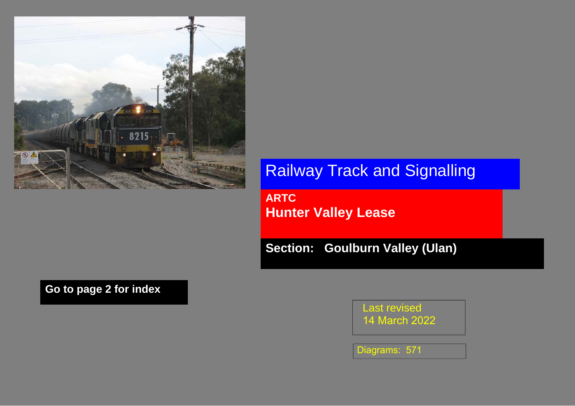

Railway Track and Signalling

**ARTC Hunter Valley Lease** 

**Section: Goulburn Valley (Ulan)** 

**Go to page 2 for index** 

Last revised14 March <sup>2022</sup>

Diagrams: 571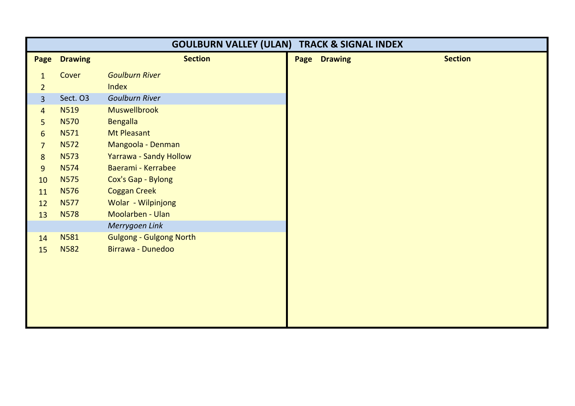| <b>GOULBURN VALLEY (ULAN) TRACK &amp; SIGNAL INDEX</b> |                |                                |                     |                |
|--------------------------------------------------------|----------------|--------------------------------|---------------------|----------------|
| Page                                                   | <b>Drawing</b> | <b>Section</b>                 | <b>Page Drawing</b> | <b>Section</b> |
| $\mathbf{1}$                                           | Cover          | <b>Goulburn River</b>          |                     |                |
| $\overline{2}$                                         |                | Index                          |                     |                |
| $\overline{3}$                                         | Sect. O3       | <b>Goulburn River</b>          |                     |                |
| $\overline{4}$                                         | <b>N519</b>    | Muswellbrook                   |                     |                |
| 5 <sup>1</sup>                                         | <b>N570</b>    | <b>Bengalla</b>                |                     |                |
| $6 \overline{6}$                                       | N571           | Mt Pleasant                    |                     |                |
| $\overline{7}$                                         | <b>N572</b>    | Mangoola - Denman              |                     |                |
| 8                                                      | <b>N573</b>    | Yarrawa - Sandy Hollow         |                     |                |
| 9                                                      | <b>N574</b>    | Baerami - Kerrabee             |                     |                |
| 10                                                     | <b>N575</b>    | Cox's Gap - Bylong             |                     |                |
| 11                                                     | <b>N576</b>    | <b>Coggan Creek</b>            |                     |                |
| 12                                                     | <b>N577</b>    | Wolar - Wilpinjong             |                     |                |
| 13                                                     | <b>N578</b>    | Moolarben - Ulan               |                     |                |
|                                                        |                | Merrygoen Link                 |                     |                |
| 14                                                     | <b>N581</b>    | <b>Gulgong - Gulgong North</b> |                     |                |
| 15                                                     | <b>N582</b>    | Birrawa - Dunedoo              |                     |                |
|                                                        |                |                                |                     |                |
|                                                        |                |                                |                     |                |
|                                                        |                |                                |                     |                |
|                                                        |                |                                |                     |                |
|                                                        |                |                                |                     |                |
|                                                        |                |                                |                     |                |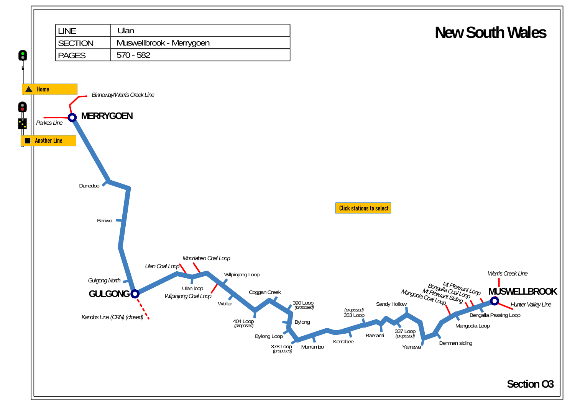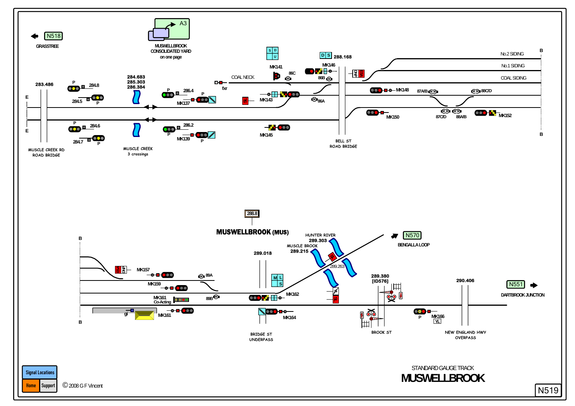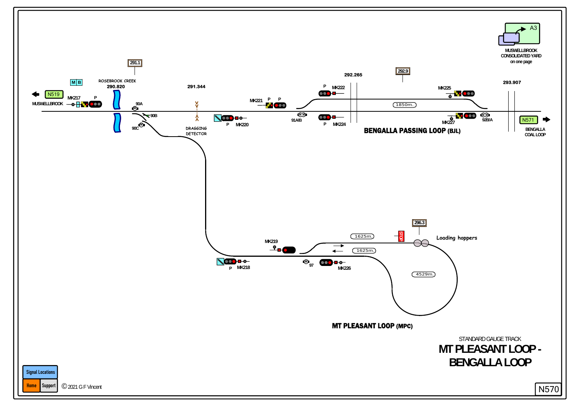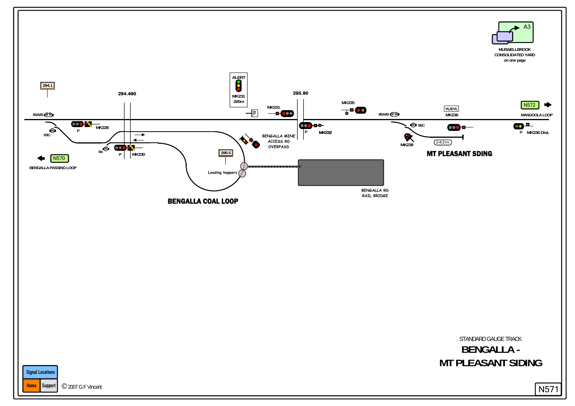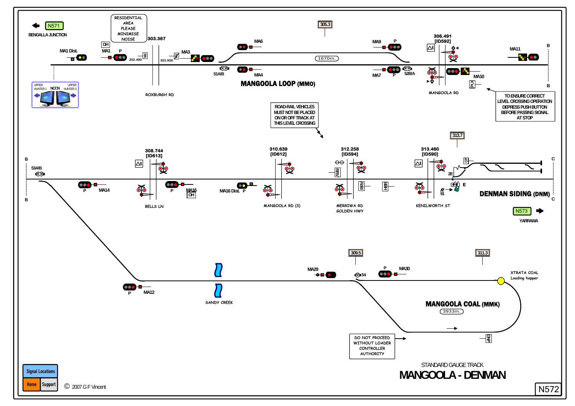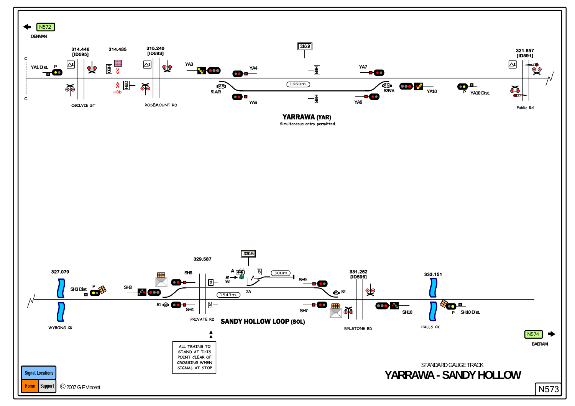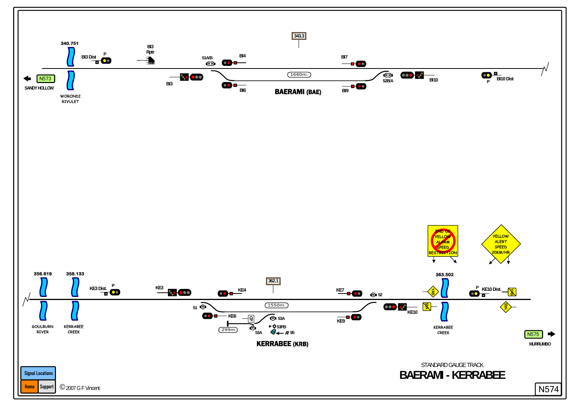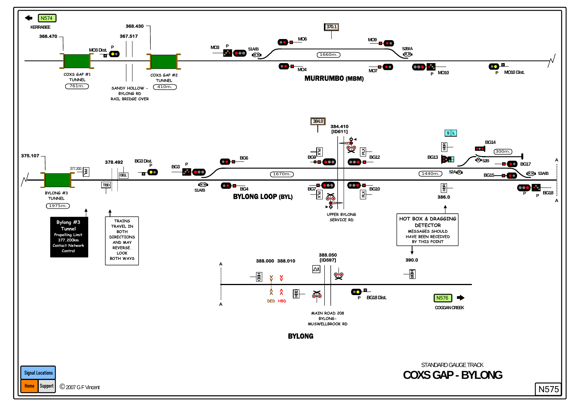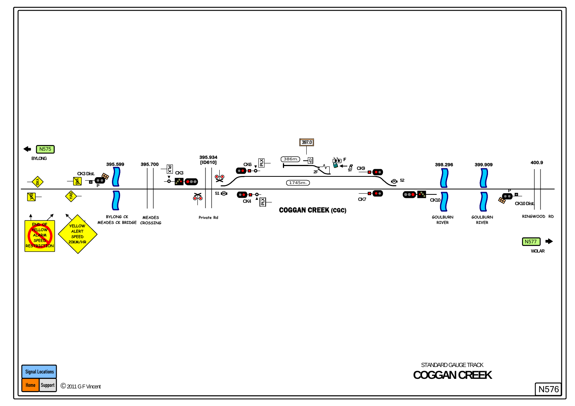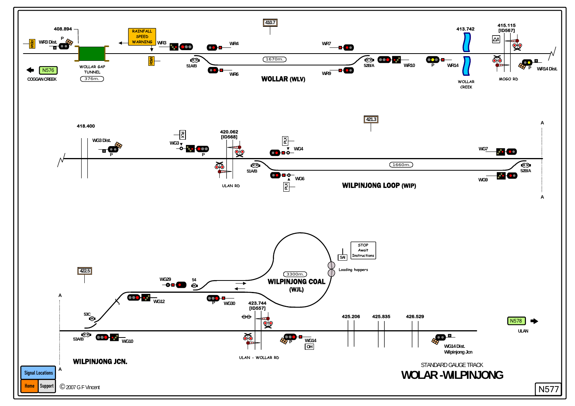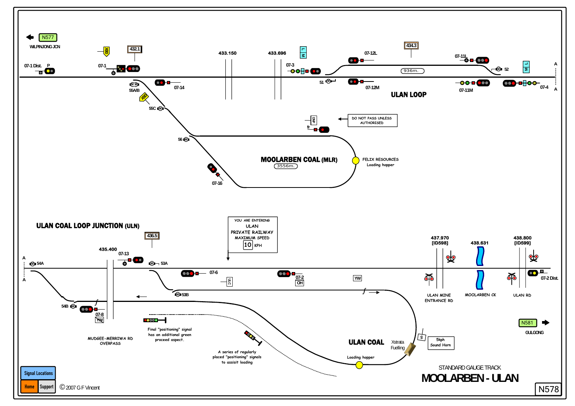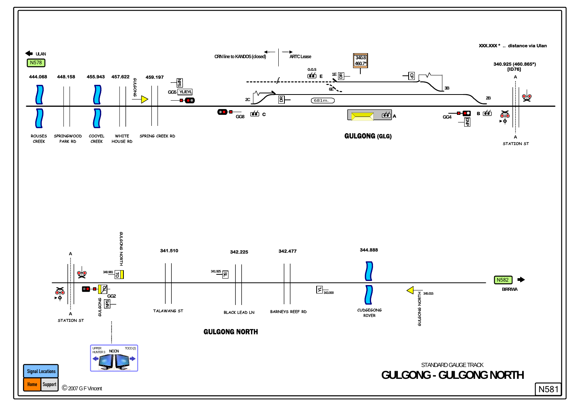